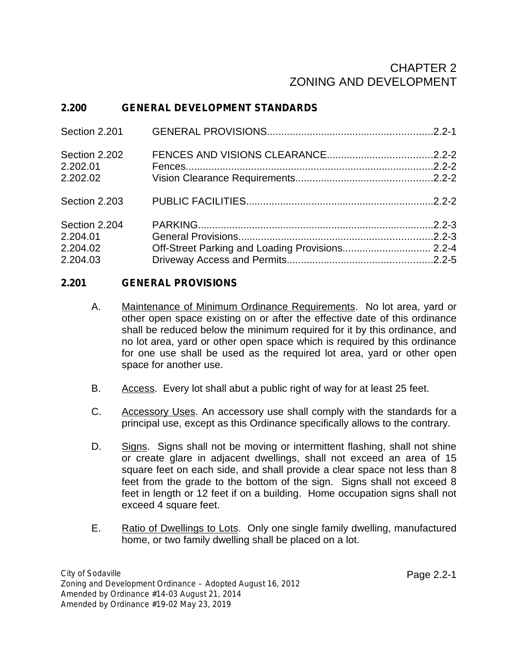# CHAPTER 2 ZONING AND DEVELOPMENT

## **2.200 GENERAL DEVELOPMENT STANDARDS**

| Section 2.201 |  |
|---------------|--|
| Section 2.202 |  |
| 2.202.01      |  |
| 2.202.02      |  |
| Section 2.203 |  |
| Section 2.204 |  |
| 2.204.01      |  |
| 2.204.02      |  |
| 2.204.03      |  |

#### **2.201 GENERAL PROVISIONS**

- A. Maintenance of Minimum Ordinance Requirements. No lot area, yard or other open space existing on or after the effective date of this ordinance shall be reduced below the minimum required for it by this ordinance, and no lot area, yard or other open space which is required by this ordinance for one use shall be used as the required lot area, yard or other open space for another use.
- B. Access. Every lot shall abut a public right of way for at least 25 feet.
- C. Accessory Uses. An accessory use shall comply with the standards for a principal use, except as this Ordinance specifically allows to the contrary.
- D. Signs. Signs shall not be moving or intermittent flashing, shall not shine or create glare in adjacent dwellings, shall not exceed an area of 15 square feet on each side, and shall provide a clear space not less than 8 feet from the grade to the bottom of the sign. Signs shall not exceed 8 feet in length or 12 feet if on a building. Home occupation signs shall not exceed 4 square feet.
- E. Ratio of Dwellings to Lots. Only one single family dwelling, manufactured home, or two family dwelling shall be placed on a lot.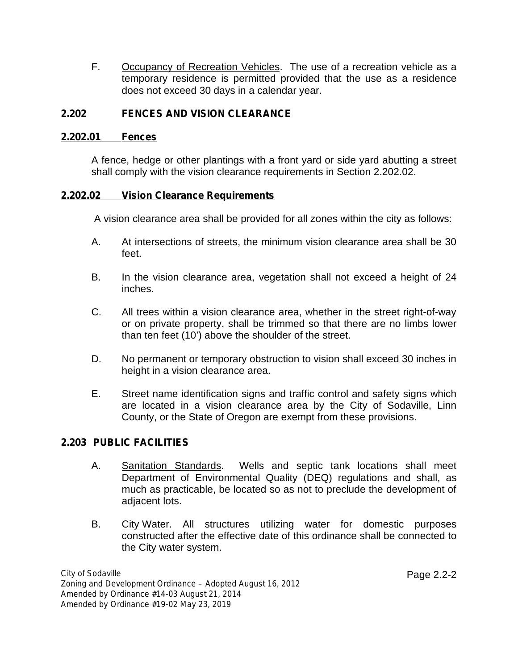F. Occupancy of Recreation Vehicles. The use of a recreation vehicle as a temporary residence is permitted provided that the use as a residence does not exceed 30 days in a calendar year.

#### **2.202 FENCES AND VISION CLEARANCE**

#### **2.202.01 Fences**

A fence, hedge or other plantings with a front yard or side yard abutting a street shall comply with the vision clearance requirements in Section 2.202.02.

#### **2.202.02 Vision Clearance Requirements**

A vision clearance area shall be provided for all zones within the city as follows:

- A. At intersections of streets, the minimum vision clearance area shall be 30 feet.
- B. In the vision clearance area, vegetation shall not exceed a height of 24 inches.
- C. All trees within a vision clearance area, whether in the street right-of-way or on private property, shall be trimmed so that there are no limbs lower than ten feet (10') above the shoulder of the street.
- D. No permanent or temporary obstruction to vision shall exceed 30 inches in height in a vision clearance area.
- E. Street name identification signs and traffic control and safety signs which are located in a vision clearance area by the City of Sodaville, Linn County, or the State of Oregon are exempt from these provisions.

#### **2.203 PUBLIC FACILITIES**

- A. Sanitation Standards. Wells and septic tank locations shall meet Department of Environmental Quality (DEQ) regulations and shall, as much as practicable, be located so as not to preclude the development of adjacent lots.
- B. City Water. All structures utilizing water for domestic purposes constructed after the effective date of this ordinance shall be connected to the City water system.

*City of Sodaville Zoning and Development Ordinance – Adopted August 16, 2012 Amended by Ordinance #14-03 August 21, 2014 Amended by Ordinance #19-02 May 23, 2019*

Page 2.2-2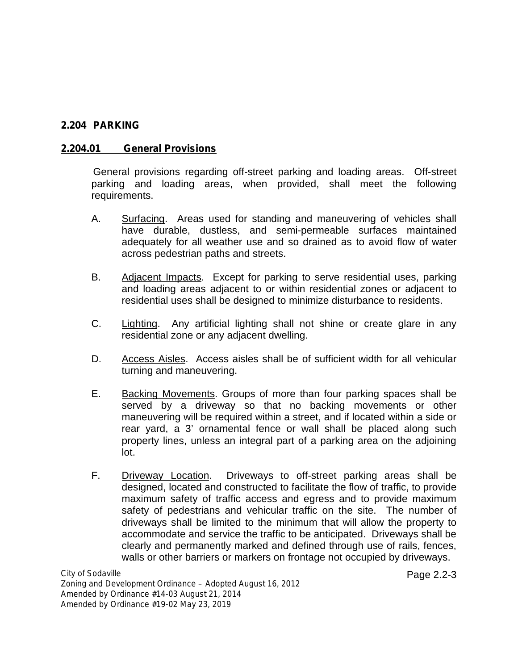#### **2.204 PARKING**

#### **2.204.01 General Provisions**

General provisions regarding off-street parking and loading areas. Off-street parking and loading areas, when provided, shall meet the following requirements.

- A. Surfacing. Areas used for standing and maneuvering of vehicles shall have durable, dustless, and semi-permeable surfaces maintained adequately for all weather use and so drained as to avoid flow of water across pedestrian paths and streets.
- B. Adjacent Impacts. Except for parking to serve residential uses, parking and loading areas adjacent to or within residential zones or adjacent to residential uses shall be designed to minimize disturbance to residents.
- C. Lighting. Any artificial lighting shall not shine or create glare in any residential zone or any adjacent dwelling.
- D. Access Aisles. Access aisles shall be of sufficient width for all vehicular turning and maneuvering.
- E. Backing Movements. Groups of more than four parking spaces shall be served by a driveway so that no backing movements or other maneuvering will be required within a street, and if located within a side or rear yard, a 3' ornamental fence or wall shall be placed along such property lines, unless an integral part of a parking area on the adjoining lot.
- F. Driveway Location. Driveways to off-street parking areas shall be designed, located and constructed to facilitate the flow of traffic, to provide maximum safety of traffic access and egress and to provide maximum safety of pedestrians and vehicular traffic on the site. The number of driveways shall be limited to the minimum that will allow the property to accommodate and service the traffic to be anticipated. Driveways shall be clearly and permanently marked and defined through use of rails, fences, walls or other barriers or markers on frontage not occupied by driveways.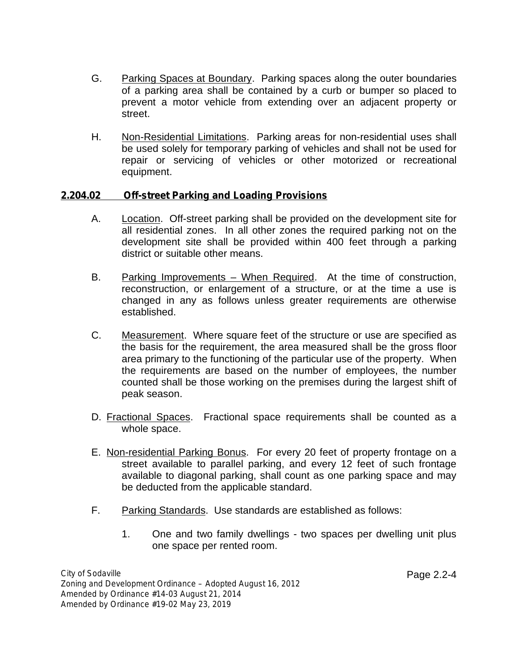- G. Parking Spaces at Boundary. Parking spaces along the outer boundaries of a parking area shall be contained by a curb or bumper so placed to prevent a motor vehicle from extending over an adjacent property or street.
- H. Non-Residential Limitations. Parking areas for non-residential uses shall be used solely for temporary parking of vehicles and shall not be used for repair or servicing of vehicles or other motorized or recreational equipment.

### **2.204.02 Off-street Parking and Loading Provisions**

- A. Location. Off-street parking shall be provided on the development site for all residential zones. In all other zones the required parking not on the development site shall be provided within 400 feet through a parking district or suitable other means.
- B. Parking Improvements When Required. At the time of construction, reconstruction, or enlargement of a structure, or at the time a use is changed in any as follows unless greater requirements are otherwise established.
- C. Measurement. Where square feet of the structure or use are specified as the basis for the requirement, the area measured shall be the gross floor area primary to the functioning of the particular use of the property. When the requirements are based on the number of employees, the number counted shall be those working on the premises during the largest shift of peak season.
- D. Fractional Spaces. Fractional space requirements shall be counted as a whole space.
- E. Non-residential Parking Bonus. For every 20 feet of property frontage on a street available to parallel parking, and every 12 feet of such frontage available to diagonal parking, shall count as one parking space and may be deducted from the applicable standard.
- F. Parking Standards. Use standards are established as follows:
	- 1. One and two family dwellings two spaces per dwelling unit plus one space per rented room.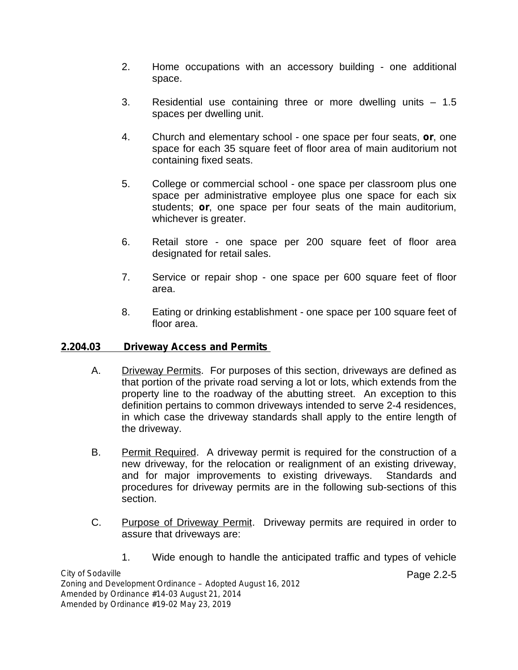- 2. Home occupations with an accessory building one additional space.
- 3. Residential use containing three or more dwelling units 1.5 spaces per dwelling unit.
- 4. Church and elementary school one space per four seats, **or**, one space for each 35 square feet of floor area of main auditorium not containing fixed seats.
- 5. College or commercial school one space per classroom plus one space per administrative employee plus one space for each six students; **or**, one space per four seats of the main auditorium, whichever is greater.
- 6. Retail store one space per 200 square feet of floor area designated for retail sales.
- 7. Service or repair shop one space per 600 square feet of floor area.
- 8. Eating or drinking establishment one space per 100 square feet of floor area.

#### **2.204.03 Driveway Access and Permits**

- A. Driveway Permits. For purposes of this section, driveways are defined as that portion of the private road serving a lot or lots, which extends from the property line to the roadway of the abutting street. An exception to this definition pertains to common driveways intended to serve 2-4 residences, in which case the driveway standards shall apply to the entire length of the driveway.
- B. Permit Required. A driveway permit is required for the construction of a new driveway, for the relocation or realignment of an existing driveway, and for major improvements to existing driveways. Standards and procedures for driveway permits are in the following sub-sections of this section.
- C. Purpose of Driveway Permit. Driveway permits are required in order to assure that driveways are:
	- 1. Wide enough to handle the anticipated traffic and types of vehicle

Page 2.2-5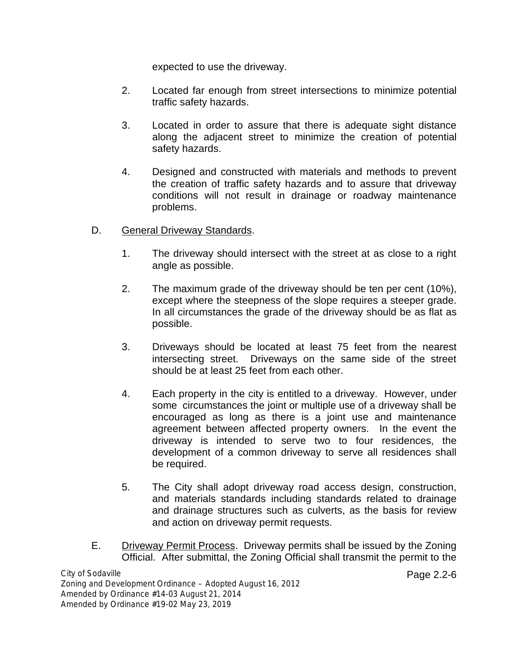expected to use the driveway.

- 2. Located far enough from street intersections to minimize potential traffic safety hazards.
- 3. Located in order to assure that there is adequate sight distance along the adjacent street to minimize the creation of potential safety hazards.
- 4. Designed and constructed with materials and methods to prevent the creation of traffic safety hazards and to assure that driveway conditions will not result in drainage or roadway maintenance problems.
- D. General Driveway Standards.
	- 1. The driveway should intersect with the street at as close to a right angle as possible.
	- 2. The maximum grade of the driveway should be ten per cent (10%), except where the steepness of the slope requires a steeper grade. In all circumstances the grade of the driveway should be as flat as possible.
	- 3. Driveways should be located at least 75 feet from the nearest intersecting street. Driveways on the same side of the street should be at least 25 feet from each other.
	- 4. Each property in the city is entitled to a driveway. However, under some circumstances the joint or multiple use of a driveway shall be encouraged as long as there is a joint use and maintenance agreement between affected property owners. In the event the driveway is intended to serve two to four residences, the development of a common driveway to serve all residences shall be required.
	- 5. The City shall adopt driveway road access design, construction, and materials standards including standards related to drainage and drainage structures such as culverts, as the basis for review and action on driveway permit requests.
- E. Driveway Permit Process. Driveway permits shall be issued by the Zoning Official. After submittal, the Zoning Official shall transmit the permit to the

Page 2.2-6